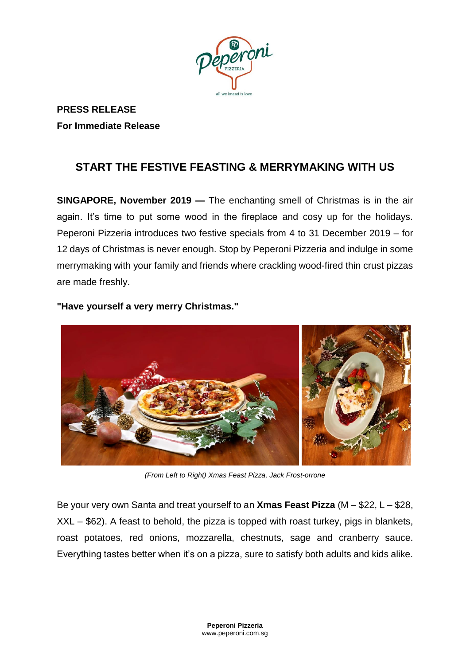

**PRESS RELEASE For Immediate Release** 

# **START THE FESTIVE FEASTING & MERRYMAKING WITH US**

**SINGAPORE, November 2019 —** The enchanting smell of Christmas is in the air again. It's time to put some wood in the fireplace and cosy up for the holidays. Peperoni Pizzeria introduces two festive specials from 4 to 31 December 2019 – for 12 days of Christmas is never enough. Stop by Peperoni Pizzeria and indulge in some merrymaking with your family and friends where crackling wood-fired thin crust pizzas are made freshly.



**"Have yourself a very merry Christmas."**

*(From Left to Right) Xmas Feast Pizza, Jack Frost-orrone*

Be your very own Santa and treat yourself to an **Xmas Feast Pizza** (M – \$22, L – \$28, XXL – \$62). A feast to behold, the pizza is topped with roast turkey, pigs in blankets, roast potatoes, red onions, mozzarella, chestnuts, sage and cranberry sauce. Everything tastes better when it's on a pizza, sure to satisfy both adults and kids alike.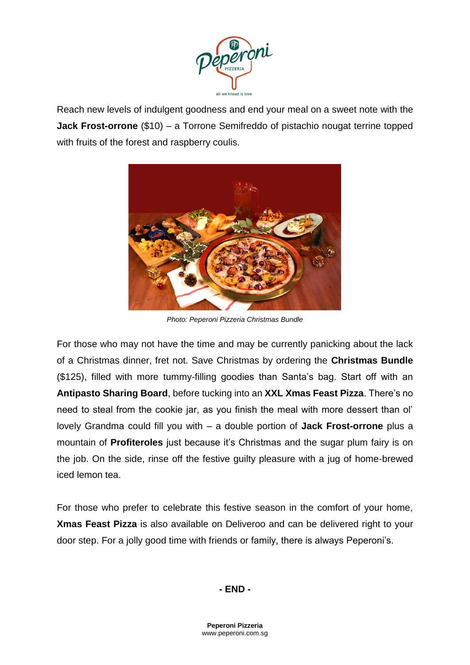

Reach new levels of indulgent goodness and end your meal on a sweet note with the **Jack Frost-orrone** (\$10) – a Torrone Semifreddo of pistachio nougat terrine topped with fruits of the forest and raspberry coulis.



*Photo: Peperoni Pizzeria Christmas Bundle*

For those who may not have the time and may be currently panicking about the lack of a Christmas dinner, fret not. Save Christmas by ordering the **Christmas Bundle** (\$125), filled with more tummy-filling goodies than Santa's bag. Start off with an **Antipasto Sharing Board**, before tucking into an **XXL Xmas Feast Pizza**. There's no need to steal from the cookie jar, as you finish the meal with more dessert than ol' lovely Grandma could fill you with – a double portion of **Jack Frost-orrone** plus a mountain of **Profiteroles** just because it's Christmas and the sugar plum fairy is on the job. On the side, rinse off the festive guilty pleasure with a jug of home-brewed iced lemon tea.

For those who prefer to celebrate this festive season in the comfort of your home, **Xmas Feast Pizza** is also available on Deliveroo and can be delivered right to your door step. For a jolly good time with friends or family, there is always Peperoni's.

## **- END -**

**Peperoni Pizzeria** www.peperoni.com.sg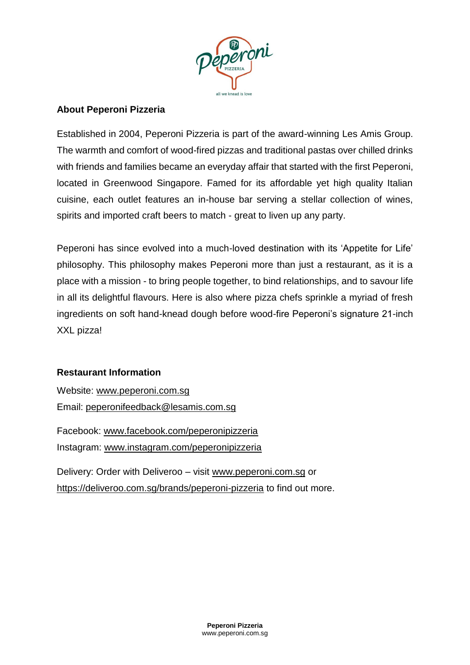

## **About Peperoni Pizzeria**

Established in 2004, Peperoni Pizzeria is part of the award-winning Les Amis Group. The warmth and comfort of wood-fired pizzas and traditional pastas over chilled drinks with friends and families became an everyday affair that started with the first Peperoni, located in Greenwood Singapore. Famed for its affordable yet high quality Italian cuisine, each outlet features an in-house bar serving a stellar collection of wines, spirits and imported craft beers to match - great to liven up any party.

Peperoni has since evolved into a much-loved destination with its 'Appetite for Life' philosophy. This philosophy makes Peperoni more than just a restaurant, as it is a place with a mission - to bring people together, to bind relationships, and to savour life in all its delightful flavours. Here is also where pizza chefs sprinkle a myriad of fresh ingredients on soft hand-knead dough before wood-fire Peperoni's signature 21-inch XXL pizza!

## **Restaurant Information**

Website: www.peperoni.com.sg Email: peperonifeedback@lesamis.com.sg

Facebook: www.facebook.com/peperonipizzeria Instagram: www.instagram.com/peperonipizzeria

Delivery: Order with Deliveroo – visit www.peperoni.com.sg or https://deliveroo.com.sg/brands/peperoni-pizzeria to find out more.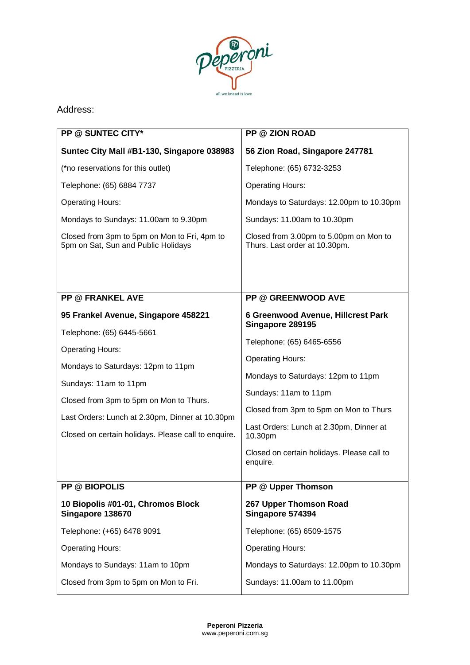

## Address:

| <b>PP @ SUNTEC CITY*</b>                                                            | <b>PP @ ZION ROAD</b>                                                   |
|-------------------------------------------------------------------------------------|-------------------------------------------------------------------------|
| Suntec City Mall #B1-130, Singapore 038983                                          | 56 Zion Road, Singapore 247781                                          |
| (*no reservations for this outlet)                                                  | Telephone: (65) 6732-3253                                               |
| Telephone: (65) 6884 7737                                                           | <b>Operating Hours:</b>                                                 |
| <b>Operating Hours:</b>                                                             | Mondays to Saturdays: 12.00pm to 10.30pm                                |
| Mondays to Sundays: 11.00am to 9.30pm                                               | Sundays: 11.00am to 10.30pm                                             |
| Closed from 3pm to 5pm on Mon to Fri, 4pm to<br>5pm on Sat, Sun and Public Holidays | Closed from 3.00pm to 5.00pm on Mon to<br>Thurs. Last order at 10.30pm. |
|                                                                                     |                                                                         |
| <b>PP @ FRANKEL AVE</b>                                                             | <b>PP @ GREENWOOD AVE</b>                                               |
| 95 Frankel Avenue, Singapore 458221                                                 | 6 Greenwood Avenue, Hillcrest Park<br>Singapore 289195                  |
| Telephone: (65) 6445-5661                                                           | Telephone: (65) 6465-6556                                               |
| <b>Operating Hours:</b>                                                             | <b>Operating Hours:</b>                                                 |
| Mondays to Saturdays: 12pm to 11pm                                                  | Mondays to Saturdays: 12pm to 11pm                                      |
| Sundays: 11am to 11pm                                                               | Sundays: 11am to 11pm                                                   |
| Closed from 3pm to 5pm on Mon to Thurs.                                             | Closed from 3pm to 5pm on Mon to Thurs                                  |
| Last Orders: Lunch at 2.30pm, Dinner at 10.30pm                                     | Last Orders: Lunch at 2.30pm, Dinner at                                 |
| Closed on certain holidays. Please call to enquire.                                 | 10.30pm                                                                 |
|                                                                                     | Closed on certain holidays. Please call to<br>enquire.                  |
| <b>PP @ BIOPOLIS</b>                                                                | PP @ Upper Thomson                                                      |
| 10 Biopolis #01-01, Chromos Block<br>Singapore 138670                               | 267 Upper Thomson Road<br>Singapore 574394                              |
| Telephone: (+65) 6478 9091                                                          | Telephone: (65) 6509-1575                                               |
| <b>Operating Hours:</b>                                                             | <b>Operating Hours:</b>                                                 |
| Mondays to Sundays: 11am to 10pm                                                    | Mondays to Saturdays: 12.00pm to 10.30pm                                |
| Closed from 3pm to 5pm on Mon to Fri.                                               | Sundays: 11.00am to 11.00pm                                             |